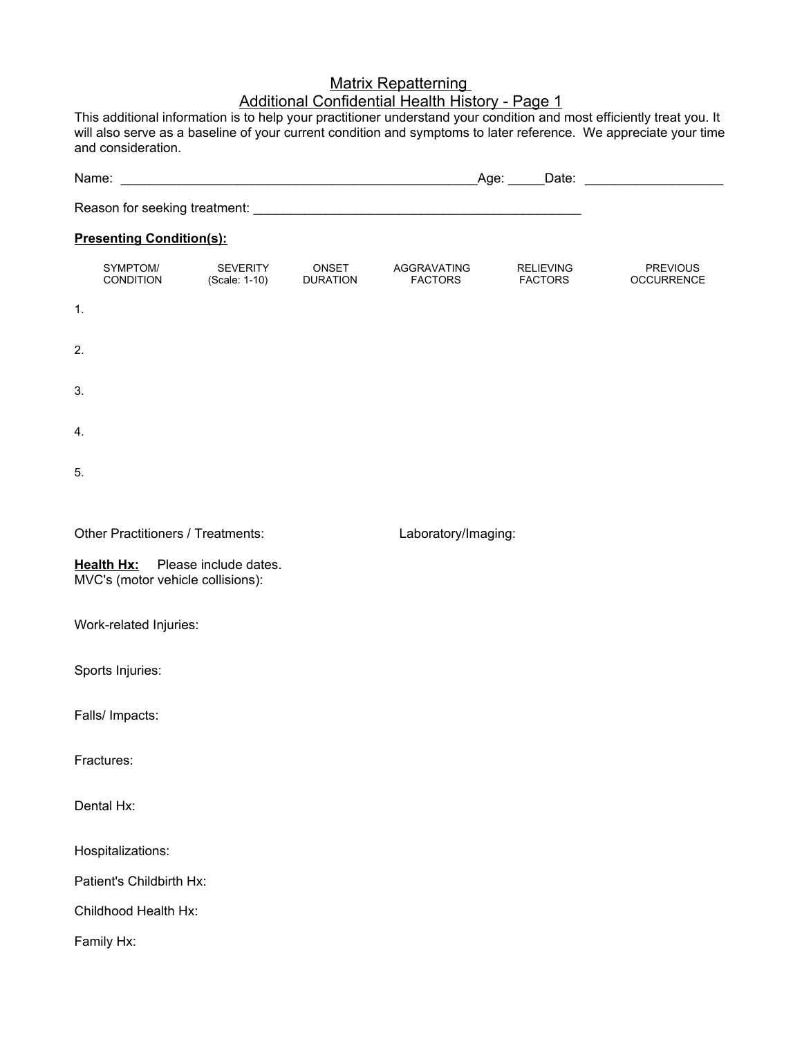## **Matrix Repatterning** Additional Confidential Health History - Page 1

This additional information is to help your practitioner understand your condition and most efficiently treat you. It will also serve as a baseline of your current condition and symptoms to later reference. We appreciate your time and consideration.

|                                                                       |                           |                                 |                               |                             | _Age: ______Date: ______________________ |  |
|-----------------------------------------------------------------------|---------------------------|---------------------------------|-------------------------------|-----------------------------|------------------------------------------|--|
|                                                                       |                           |                                 |                               |                             |                                          |  |
| <b>Presenting Condition(s):</b>                                       |                           |                                 |                               |                             |                                          |  |
| SYMPTOM/<br>CONDITION                                                 | SEVERITY<br>(Scale: 1-10) | <b>ONSET</b><br><b>DURATION</b> | AGGRAVATING<br><b>FACTORS</b> | RELIEVING<br><b>FACTORS</b> | <b>PREVIOUS</b><br><b>OCCURRENCE</b>     |  |
| 1.                                                                    |                           |                                 |                               |                             |                                          |  |
| 2.                                                                    |                           |                                 |                               |                             |                                          |  |
| 3.                                                                    |                           |                                 |                               |                             |                                          |  |
| 4.                                                                    |                           |                                 |                               |                             |                                          |  |
| 5.                                                                    |                           |                                 |                               |                             |                                          |  |
| Other Practitioners / Treatments:                                     |                           |                                 |                               | Laboratory/Imaging:         |                                          |  |
| Health Hx: Please include dates.<br>MVC's (motor vehicle collisions): |                           |                                 |                               |                             |                                          |  |
| Work-related Injuries:                                                |                           |                                 |                               |                             |                                          |  |
| Sports Injuries:                                                      |                           |                                 |                               |                             |                                          |  |
| Falls/ Impacts:                                                       |                           |                                 |                               |                             |                                          |  |
| Fractures:                                                            |                           |                                 |                               |                             |                                          |  |
| Dental Hx:                                                            |                           |                                 |                               |                             |                                          |  |
| Hospitalizations:                                                     |                           |                                 |                               |                             |                                          |  |
| Patient's Childbirth Hx:                                              |                           |                                 |                               |                             |                                          |  |
| Childhood Health Hx:                                                  |                           |                                 |                               |                             |                                          |  |
| Family Hx:                                                            |                           |                                 |                               |                             |                                          |  |